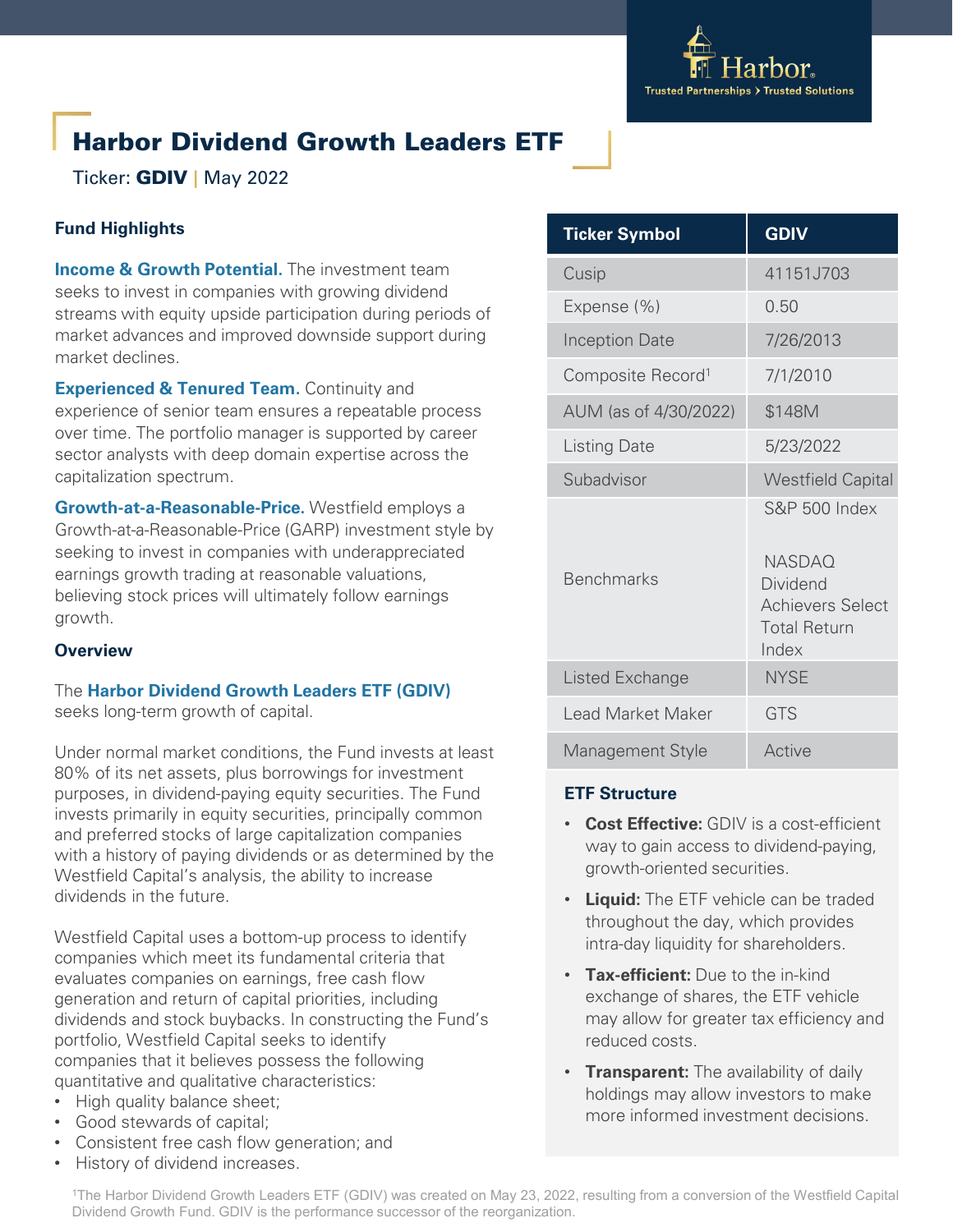

# Harbor Dividend Growth Leaders ETF

Ticker: GDIV **|** May 2022

# **Fund Highlights**

**Income & Growth Potential.** The investment team seeks to invest in companies with growing dividend streams with equity upside participation during periods of market advances and improved downside support during market declines.

**Experienced & Tenured Team.** Continuity and experience of senior team ensures a repeatable process over time. The portfolio manager is supported by career sector analysts with deep domain expertise across the capitalization spectrum.

**Growth-at-a-Reasonable-Price.** Westfield employs a Growth-at-a-Reasonable-Price (GARP) investment style by seeking to invest in companies with underappreciated earnings growth trading at reasonable valuations, believing stock prices will ultimately follow earnings growth.

## **Overview**

The **Harbor Dividend Growth Leaders ETF (GDIV)**  seeks long-term growth of capital.

Under normal market conditions, the Fund invests at least 80% of its net assets, plus borrowings for investment purposes, in dividend-paying equity securities. The Fund invests primarily in equity securities, principally common and preferred stocks of large capitalization companies with a history of paying dividends or as determined by the Westfield Capital's analysis, the ability to increase dividends in the future.

Westfield Capital uses a bottom-up process to identify companies which meet its fundamental criteria that evaluates companies on earnings, free cash flow generation and return of capital priorities, including dividends and stock buybacks. In constructing the Fund's portfolio, Westfield Capital seeks to identify companies that it believes possess the following quantitative and qualitative characteristics:

- High quality balance sheet;
- Good stewards of capital;
- Consistent free cash flow generation; and
- History of dividend increases.

| <b>Ticker Symbol</b>          | <b>GDIV</b>                                                                                                      |
|-------------------------------|------------------------------------------------------------------------------------------------------------------|
| Cusip                         | 41151J703                                                                                                        |
| Expense (%)                   | 0.50                                                                                                             |
| <b>Inception Date</b>         | 7/26/2013                                                                                                        |
| Composite Record <sup>1</sup> | 7/1/2010                                                                                                         |
| AUM (as of 4/30/2022)         | \$148M                                                                                                           |
| <b>Listing Date</b>           | 5/23/2022                                                                                                        |
| Subadvisor                    | <b>Westfield Capital</b>                                                                                         |
| <b>Benchmarks</b>             | <b>S&amp;P 500 Index</b><br><b>NASDAQ</b><br>Dividend<br><b>Achievers Select</b><br><b>Total Return</b><br>Index |
| Listed Exchange               | <b>NYSE</b>                                                                                                      |
| <b>Lead Market Maker</b>      | <b>GTS</b>                                                                                                       |
| Management Style              | Active                                                                                                           |

## **ETF Structure**

- **Cost Effective:** GDIV is a cost-efficient way to gain access to dividend-paying, growth-oriented securities.
- **Liquid:** The ETF vehicle can be traded throughout the day, which provides intra-day liquidity for shareholders.
- **Tax-efficient:** Due to the in-kind exchange of shares, the ETF vehicle may allow for greater tax efficiency and reduced costs.
- **Transparent:** The availability of daily holdings may allow investors to make more informed investment decisions.

1The Harbor Dividend Growth Leaders ETF (GDIV) was created on May 23, 2022, resulting from a conversion of the Westfield Capital Dividend Growth Fund. GDIV is the performance successor of the reorganization.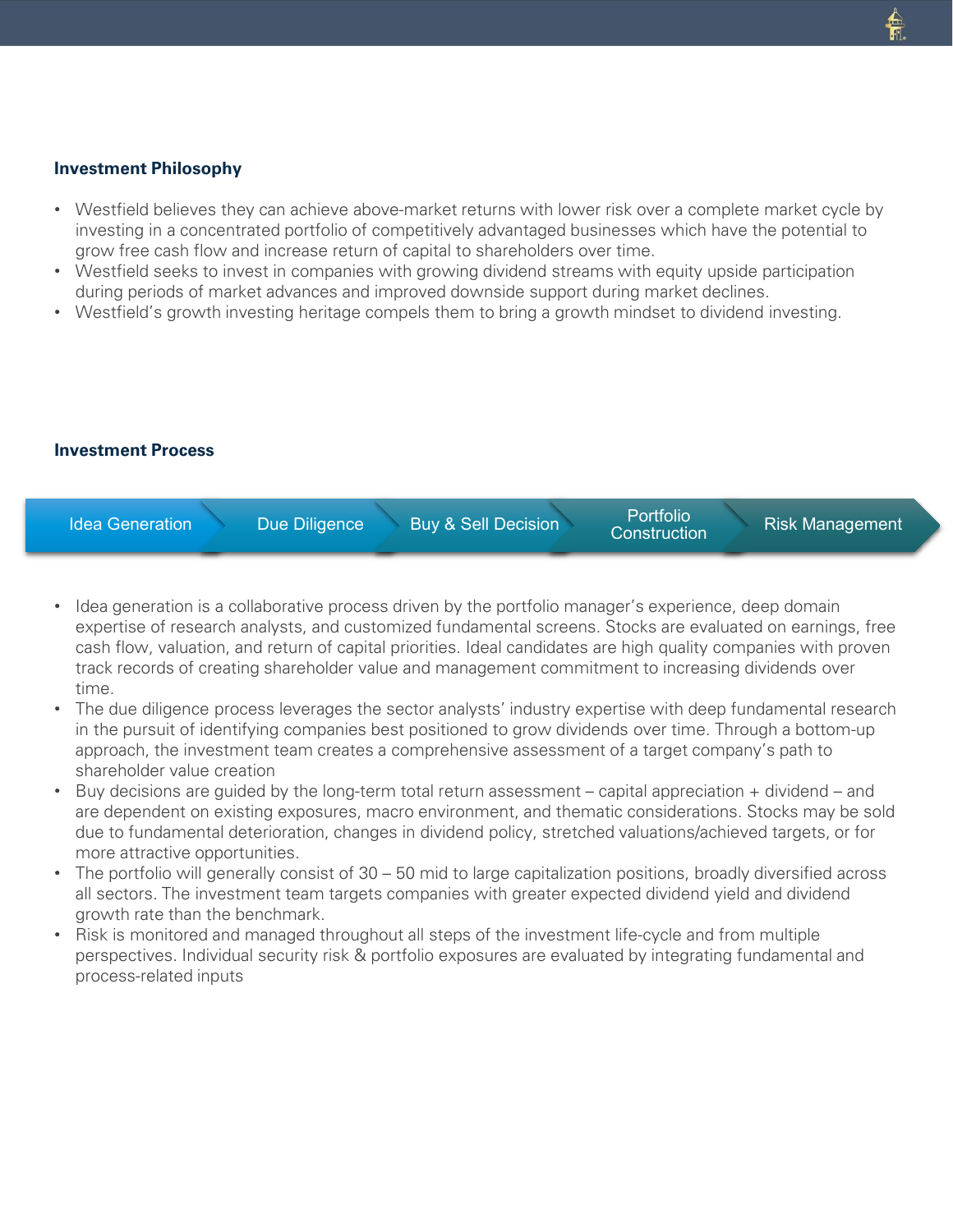#### **Investment Philosophy**

- Westfield believes they can achieve above-market returns with lower risk over a complete market cycle by investing in a concentrated portfolio of competitively advantaged businesses which have the potential to grow free cash flow and increase return of capital to shareholders over time.
- Westfield seeks to invest in companies with growing dividend streams with equity upside participation during periods of market advances and improved downside support during market declines.
- Westfield's growth investing heritage compels them to bring a growth mindset to dividend investing.

#### **Investment Process**



- Idea generation is a collaborative process driven by the portfolio manager's experience, deep domain expertise of research analysts, and customized fundamental screens. Stocks are evaluated on earnings, free cash flow, valuation, and return of capital priorities. Ideal candidates are high quality companies with proven track records of creating shareholder value and management commitment to increasing dividends over time.
- The due diligence process leverages the sector analysts' industry expertise with deep fundamental research in the pursuit of identifying companies best positioned to grow dividends over time. Through a bottom-up approach, the investment team creates a comprehensive assessment of a target company's path to shareholder value creation
- Buy decisions are guided by the long-term total return assessment capital appreciation + dividend and are dependent on existing exposures, macro environment, and thematic considerations. Stocks may be sold due to fundamental deterioration, changes in dividend policy, stretched valuations/achieved targets, or for more attractive opportunities.
- The portfolio will generally consist of 30 50 mid to large capitalization positions, broadly diversified across all sectors. The investment team targets companies with greater expected dividend yield and dividend growth rate than the benchmark.
- Risk is monitored and managed throughout all steps of the investment life-cycle and from multiple perspectives. Individual security risk & portfolio exposures are evaluated by integrating fundamental and process-related inputs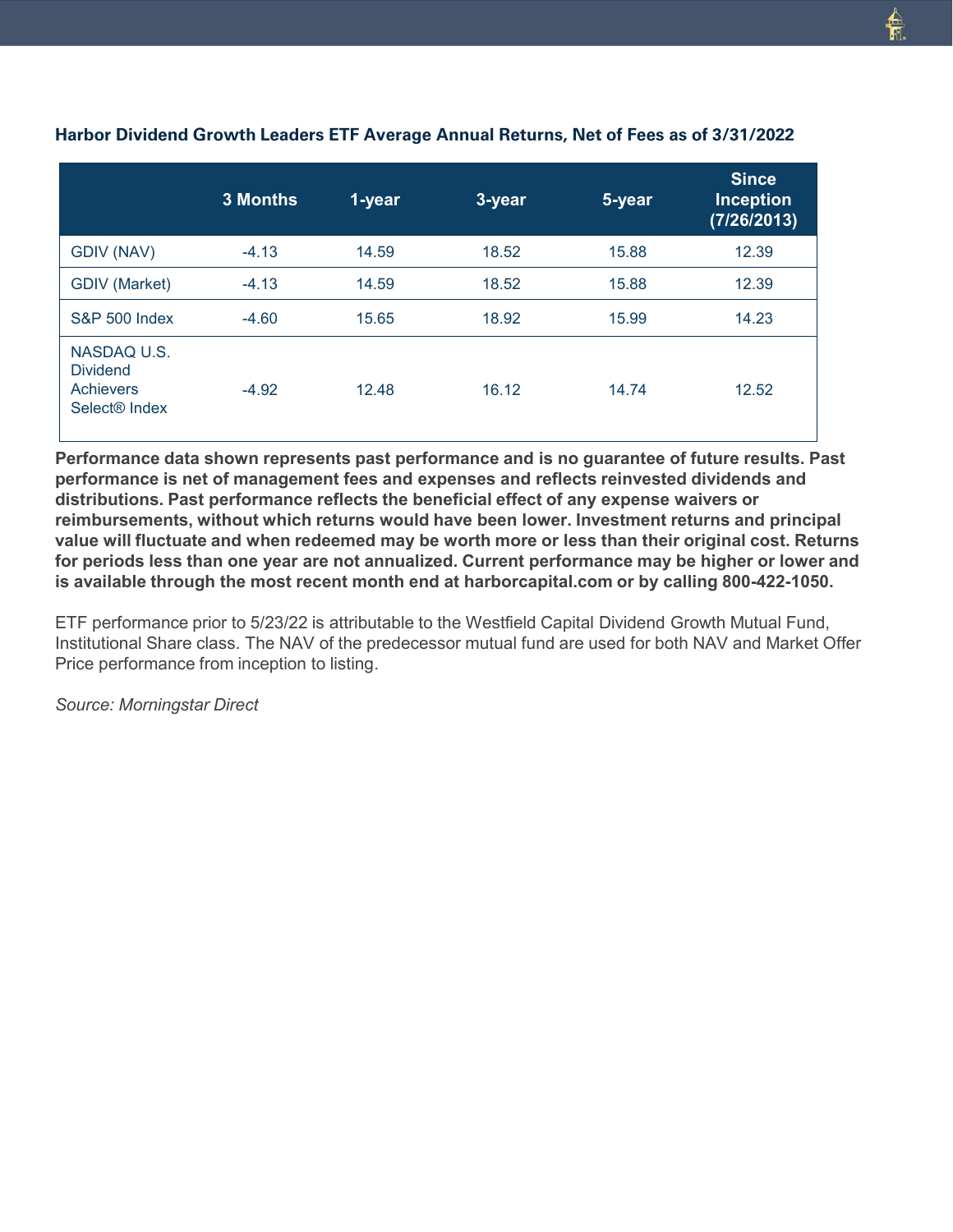|                                                                          | <b>3 Months</b> | 1-year | 3-year | 5-year | <b>Since</b><br><b>Inception</b><br>(7/26/2013) |
|--------------------------------------------------------------------------|-----------------|--------|--------|--------|-------------------------------------------------|
| GDIV (NAV)                                                               | $-4.13$         | 14.59  | 18.52  | 15.88  | 12.39                                           |
| <b>GDIV (Market)</b>                                                     | $-4.13$         | 14.59  | 18.52  | 15.88  | 12.39                                           |
| <b>S&amp;P 500 Index</b>                                                 | $-4.60$         | 15.65  | 18.92  | 15.99  | 14.23                                           |
| NASDAQ U.S.<br><b>Dividend</b><br>Achievers<br>Select <sup>®</sup> Index | $-4.92$         | 12.48  | 16.12  | 14.74  | 12.52                                           |

## **Harbor Dividend Growth Leaders ETF Average Annual Returns, Net of Fees as of 3/31/2022**

**Performance data shown represents past performance and is no guarantee of future results. Past performance is net of management fees and expenses and reflects reinvested dividends and distributions. Past performance reflects the beneficial effect of any expense waivers or reimbursements, without which returns would have been lower. Investment returns and principal value will fluctuate and when redeemed may be worth more or less than their original cost. Returns for periods less than one year are not annualized. Current performance may be higher or lower and is available through the most recent month end at harborcapital.com or by calling 800-422-1050.**

ETF performance prior to 5/23/22 is attributable to the Westfield Capital Dividend Growth Mutual Fund, Institutional Share class. The NAV of the predecessor mutual fund are used for both NAV and Market Offer Price performance from inception to listing.

*Source: Morningstar Direct*